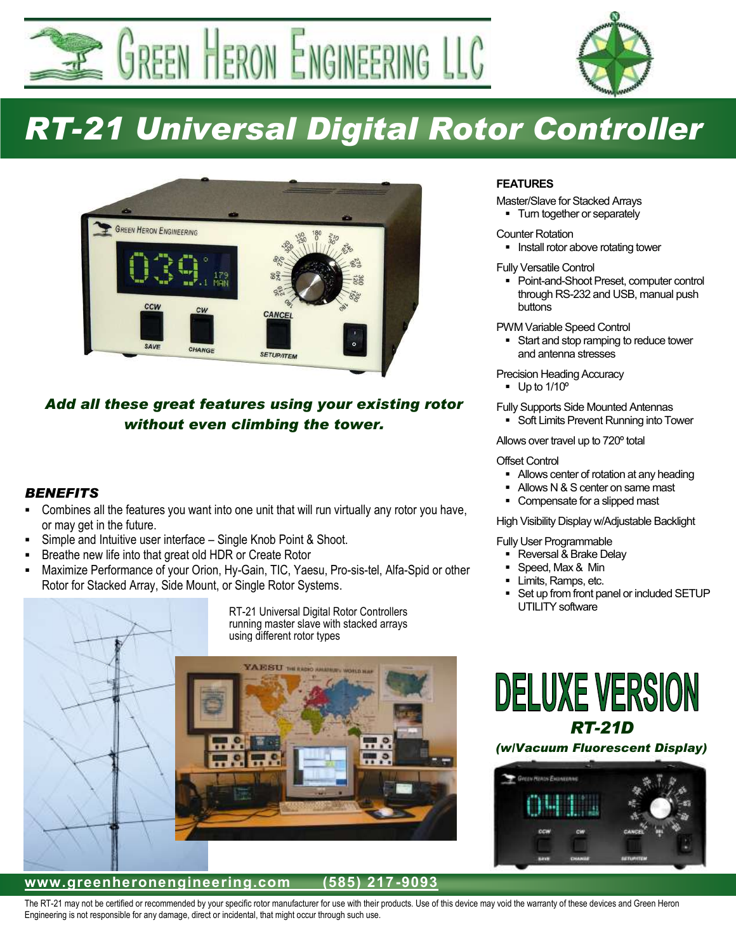GREEN HERON ENGINEERING LLC



# *RT-21 Universal Digital Rotor Controller*



## *Add all these great features using your existing rotor without even climbing the tower.*

### *BENEFITS*

- Combines all the features you want into one unit that will run virtually any rotor you have, or may get in the future.
- Simple and Intuitive user interface Single Knob Point & Shoot.
- Breathe new life into that great old HDR or Create Rotor
- Maximize Performance of your Orion, Hy-Gain, TIC, Yaesu, Pro-sis-tel, Alfa-Spid or other Rotor for Stacked Array, Side Mount, or Single Rotor Systems.



#### **www.greenheronengineering.com (585) 217 -9093**

#### **FEATURES**

Master/Slave for Stacked Arrays • Turn together or separately

Counter Rotation

**Install rotor above rotating tower** 

Fully Versatile Control

 Point-and-Shoot Preset, computer control through RS-232 and USB, manual push buttons

PWM Variable Speed Control

Start and stop ramping to reduce tower and antenna stresses

Precision Heading Accuracy

 $-$  Up to 1/10 $^{\circ}$ 

Fully Supports Side Mounted Antennas

Soft Limits Prevent Running into Tower

Allows over travel up to 720º total

#### Offset Control

- Allows center of rotation at any heading
- Allows N & S center on same mast
- Compensate for a slipped mast

#### High Visibility Display w/Adjustable Backlight

#### Fully User Programmable

- Reversal & Brake Delay
- Speed, Max & Min
- Limits, Ramps, etc.
- Set up from front panel or included SETUP UTILITY software

## **DELUXE VERSION** *RT-21D (w/Vacuum Fluorescent Display)*



The RT-21 may not be certified or recommended by your specific rotor manufacturer for use with their products. Use of this device may void the warranty of these devices and Green Heron Engineering is not responsible for any damage, direct or incidental, that might occur through such use.